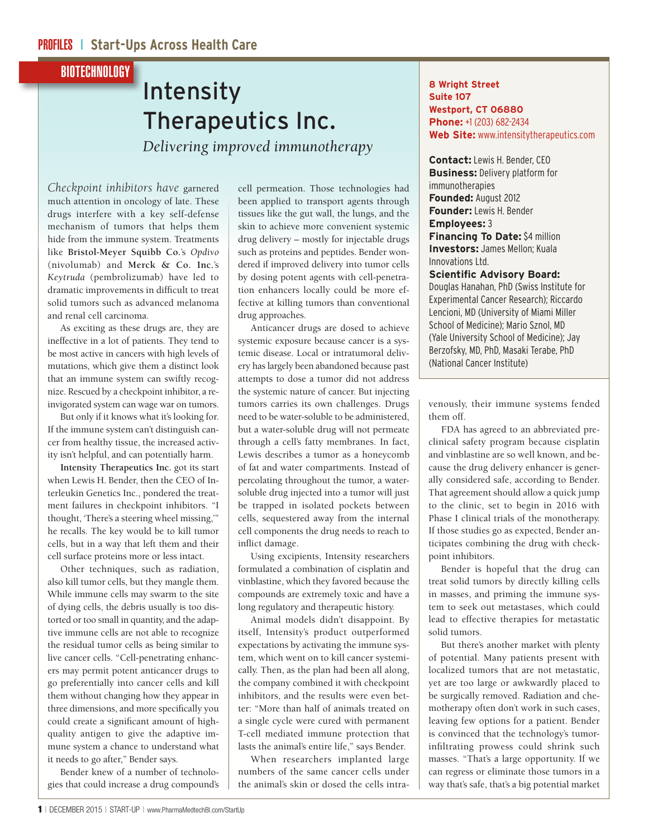## BIOTECHNOLOGY

## Intensity Therapeutics Inc. *Delivering improved immunotherapy*

*Checkpoint inhibitors have* garnered much attention in oncology of late. These drugs interfere with a key self-defense mechanism of tumors that helps them hide from the immune system. Treatments like **Bristol-Meyer Squibb Co.**'s *Opdivo*  (nivolumab) and **Merck & Co. Inc.**'s *Keytruda* (pembrolizumab) have led to dramatic improvements in difficult to treat solid tumors such as advanced melanoma and renal cell carcinoma.

As exciting as these drugs are, they are ineffective in a lot of patients. They tend to be most active in cancers with high levels of mutations, which give them a distinct look that an immune system can swiftly recognize. Rescued by a checkpoint inhibitor, a reinvigorated system can wage war on tumors.

But only if it knows what it's looking for. If the immune system can't distinguish cancer from healthy tissue, the increased activity isn't helpful, and can potentially harm.

**Intensity Therapeutics Inc.** got its start when Lewis H. Bender, then the CEO of Interleukin Genetics Inc., pondered the treatment failures in checkpoint inhibitors. "I thought, 'There's a steering wheel missing,'" he recalls. The key would be to kill tumor cells, but in a way that left them and their cell surface proteins more or less intact.

Other techniques, such as radiation, also kill tumor cells, but they mangle them. While immune cells may swarm to the site of dying cells, the debris usually is too distorted or too small in quantity, and the adaptive immune cells are not able to recognize the residual tumor cells as being similar to live cancer cells. "Cell-penetrating enhancers may permit potent anticancer drugs to go preferentially into cancer cells and kill them without changing how they appear in three dimensions, and more specifically you could create a significant amount of highquality antigen to give the adaptive immune system a chance to understand what it needs to go after," Bender says.

Bender knew of a number of technologies that could increase a drug compound's cell permeation. Those technologies had been applied to transport agents through tissues like the gut wall, the lungs, and the skin to achieve more convenient systemic drug delivery – mostly for injectable drugs such as proteins and peptides. Bender wondered if improved delivery into tumor cells by dosing potent agents with cell-penetration enhancers locally could be more effective at killing tumors than conventional drug approaches.

Anticancer drugs are dosed to achieve systemic exposure because cancer is a systemic disease. Local or intratumoral delivery has largely been abandoned because past attempts to dose a tumor did not address the systemic nature of cancer. But injecting tumors carries its own challenges. Drugs need to be water-soluble to be administered, but a water-soluble drug will not permeate through a cell's fatty membranes. In fact, Lewis describes a tumor as a honeycomb of fat and water compartments. Instead of percolating throughout the tumor, a watersoluble drug injected into a tumor will just be trapped in isolated pockets between cells, sequestered away from the internal cell components the drug needs to reach to inflict damage.

Using excipients, Intensity researchers formulated a combination of cisplatin and vinblastine, which they favored because the compounds are extremely toxic and have a long regulatory and therapeutic history.

Animal models didn't disappoint. By itself, Intensity's product outperformed expectations by activating the immune system, which went on to kill cancer systemically. Then, as the plan had been all along, the company combined it with checkpoint inhibitors, and the results were even better: "More than half of animals treated on a single cycle were cured with permanent T-cell mediated immune protection that lasts the animal's entire life," says Bender.

When researchers implanted large numbers of the same cancer cells under the animal's skin or dosed the cells intra-

## **8 Wright Street Suite 107 Westport, CT 06880 Phone:** +1 (203) 682-2434 **Web Site:** www.intensitytherapeutics.com

**Contact:** Lewis H. Bender, CEO **Business:** Delivery platform for immunotherapies **Founded:** August 2012 **Founder:** Lewis H. Bender **Employees:** 3 **Financing To Date:** \$4 million **Investors:** James Mellon; Kuala Innovations Ltd.

## **Scientific Advisory Board:**

Douglas Hanahan, PhD (Swiss Institute for Experimental Cancer Research); Riccardo Lencioni, MD (University of Miami Miller School of Medicine); Mario Sznol, MD (Yale University School of Medicine); Jay Berzofsky, MD, PhD, Masaki Terabe, PhD (National Cancer Institute)

venously, their immune systems fended them off.

FDA has agreed to an abbreviated preclinical safety program because cisplatin and vinblastine are so well known, and because the drug delivery enhancer is generally considered safe, according to Bender. That agreement should allow a quick jump to the clinic, set to begin in 2016 with Phase I clinical trials of the monotherapy. If those studies go as expected, Bender anticipates combining the drug with checkpoint inhibitors.

Bender is hopeful that the drug can treat solid tumors by directly killing cells in masses, and priming the immune system to seek out metastases, which could lead to effective therapies for metastatic solid tumors.

But there's another market with plenty of potential. Many patients present with localized tumors that are not metastatic, yet are too large or awkwardly placed to be surgically removed. Radiation and chemotherapy often don't work in such cases, leaving few options for a patient. Bender is convinced that the technology's tumorinfiltrating prowess could shrink such masses. "That's a large opportunity. If we can regress or eliminate those tumors in a way that's safe, that's a big potential market